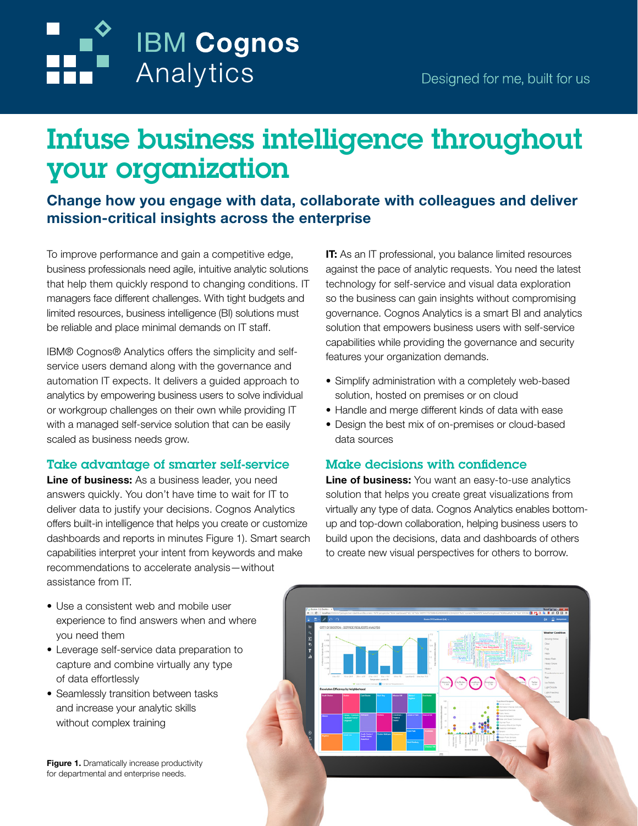# Infuse business intelligence throughout your organization

Change how you engage with data, collaborate with colleagues and deliver mission-critical insights across the enterprise

To improve performance and gain a competitive edge, business professionals need agile, intuitive analytic solutions that help them quickly respond to changing conditions. IT managers face different challenges. With tight budgets and limited resources, business intelligence (BI) solutions must be reliable and place minimal demands on IT staff.

**IBM Cognos** 

Analytics

IBM® Cognos® Analytics offers the simplicity and selfservice users demand along with the governance and automation IT expects. It delivers a guided approach to analytics by empowering business users to solve individual or workgroup challenges on their own while providing IT with a managed self-service solution that can be easily scaled as business needs grow.

#### Take advantage of smarter self-service

Line of business: As a business leader, you need answers quickly. You don't have time to wait for IT to deliver data to justify your decisions. Cognos Analytics offers built-in intelligence that helps you create or customize dashboards and reports in minutes Figure 1). Smart search capabilities interpret your intent from keywords and make recommendations to accelerate analysis—without assistance from IT.

**IT:** As an IT professional, you balance limited resources against the pace of analytic requests. You need the latest technology for self-service and visual data exploration so the business can gain insights without compromising governance. Cognos Analytics is a smart BI and analytics solution that empowers business users with self-service capabilities while providing the governance and security features your organization demands.

- Simplify administration with a completely web-based solution, hosted on premises or on cloud
- Handle and merge different kinds of data with ease
- Design the best mix of on-premises or cloud-based data sources

#### Make decisions with confidence

Line of business: You want an easy-to-use analytics solution that helps you create great visualizations from virtually any type of data. Cognos Analytics enables bottomup and top-down collaboration, helping business users to build upon the decisions, data and dashboards of others to create new visual perspectives for others to borrow.

- Use a consistent web and mobile user experience to find answers when and where you need them
- Leverage self-service data preparation to capture and combine virtually any type of data effortlessly
- Seamlessly transition between tasks and increase your analytic skills without complex training

Figure 1. Dramatically increase productivity for departmental and enterprise needs.